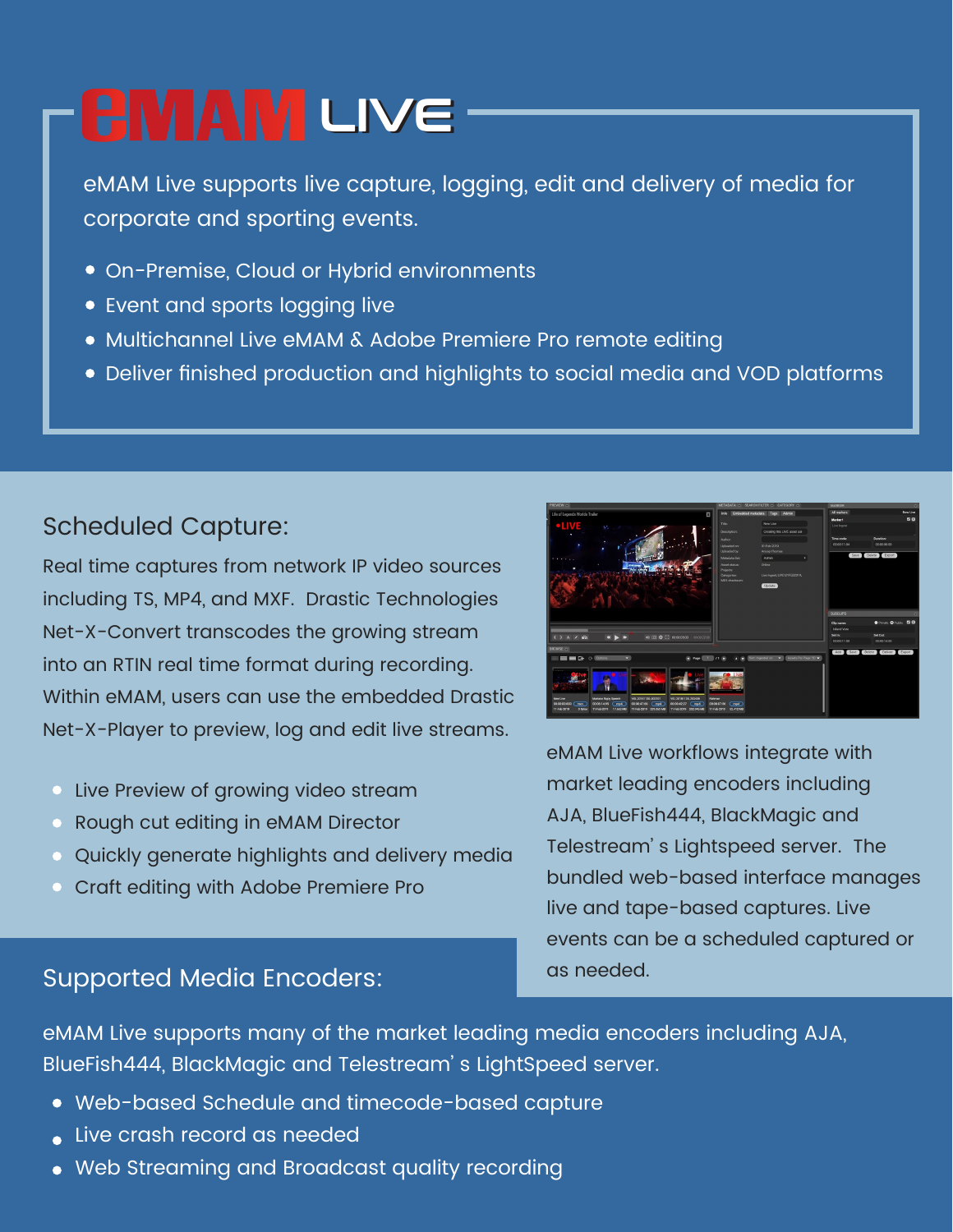## **EMAM LIVE**

eMAM Live supports live capture, logging, edit and delivery of media for corporate and sporting events.

- On-Premise, Cloud or Hybrid environments
- Event and sports logging live
- Multichannel Live eMAM & Adobe Premiere Pro remote editing
- Deliver finished production and highlights to social media and VOD platforms

#### Scheduled Capture:

Real time captures from network IP video sources including TS, MP4, and MXF. Drastic Technologies Net-X-Convert transcodes the growing stream into an RTIN real time format during recording. Within eMAM, users can use the embedded Drastic Net-X-Player to preview, log and edit live streams.

- **Live Preview of growing video stream**
- Rough cut editing in eMAM Director
- Quickly generate highlights and delivery media
- **Craft editing with Adobe Premiere Pro**



eMAM Live workflows integrate with market leading encoders including AJA, BlueFish444, BlackMagic and Telestream' s Lightspeed server. The bundled web-based interface manages live and tape-based captures. Live events can be a scheduled captured or as needed.

#### Supported Media Encoders:

eMAM Live supports many of the market leading media encoders including AJA, BlueFish444, BlackMagic and Telestream' s LightSpeed server.

- Web-based Schedule and timecode-based capture
- Live crash record as needed
- Web Streaming and Broadcast quality recording